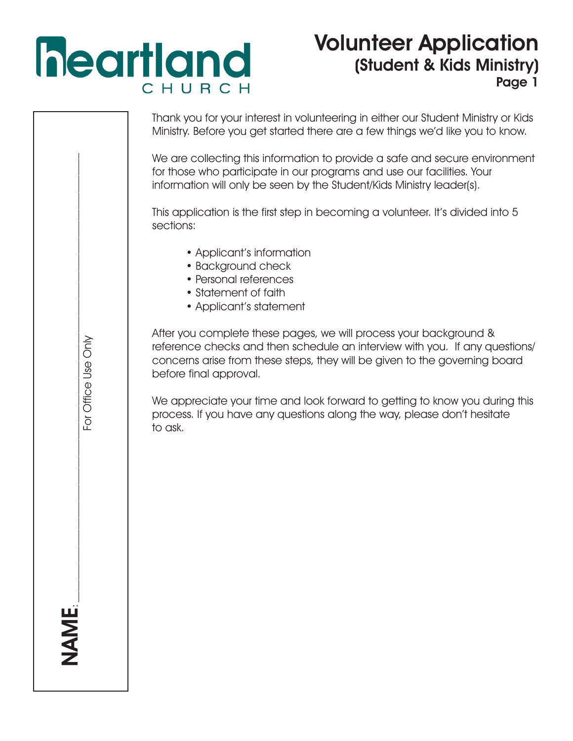# **heartland** CHURCH

### Volunteer Application (Student & Kids Ministry) Page 1

| Thank you for your interest in volunteering in either our Student Ministry or Kids<br>Ministry. Before you get started there are a few things we'd like you to know.                                                                                     |
|----------------------------------------------------------------------------------------------------------------------------------------------------------------------------------------------------------------------------------------------------------|
| We are collecting this information to provide a safe and secure environment<br>for those who participate in our programs and use our facilities. Your<br>information will only be seen by the Student/Kids Ministry leader(s).                           |
| This application is the first step in becoming a volunteer. It's divided into 5<br>sections:                                                                                                                                                             |
| • Applicant's information<br>• Background check<br>• Personal references<br>• Statement of faith<br>• Applicant's statement                                                                                                                              |
| After you complete these pages, we will process your background &<br>reference checks and then schedule an interview with you. If any questions/<br>concerns arise from these steps, they will be given to the governing board<br>before final approval. |
| We appreciate your time and look forward to getting to know you during this<br>process. If you have any questions along the way, please don't hesitate<br>to ask.                                                                                        |
|                                                                                                                                                                                                                                                          |
|                                                                                                                                                                                                                                                          |
|                                                                                                                                                                                                                                                          |
|                                                                                                                                                                                                                                                          |
|                                                                                                                                                                                                                                                          |
| For Office Use Only                                                                                                                                                                                                                                      |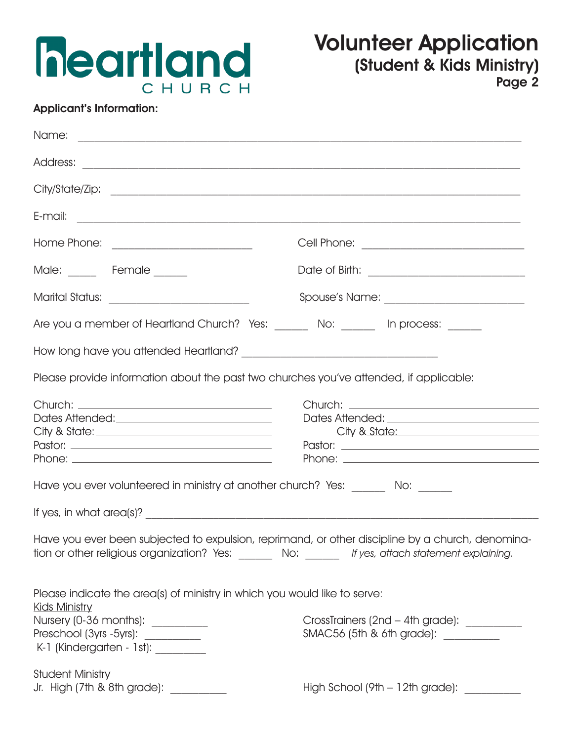

#### Applicant's Information:

| Male: _____ Female _____                                                                                                                                                                                            |                                                                                                                                                                                                        |
|---------------------------------------------------------------------------------------------------------------------------------------------------------------------------------------------------------------------|--------------------------------------------------------------------------------------------------------------------------------------------------------------------------------------------------------|
| Marital Status: ______________________________                                                                                                                                                                      |                                                                                                                                                                                                        |
| Are you a member of Heartland Church? Yes: _______ No: ______ In process: ______                                                                                                                                    |                                                                                                                                                                                                        |
|                                                                                                                                                                                                                     |                                                                                                                                                                                                        |
| Please provide information about the past two churches you've attended, if applicable:                                                                                                                              |                                                                                                                                                                                                        |
|                                                                                                                                                                                                                     | City & State: National Active Active Activities                                                                                                                                                        |
| Have you ever volunteered in ministry at another church? Yes: _______ No: ______                                                                                                                                    |                                                                                                                                                                                                        |
| If yes, in what area(s)? $\overline{\phantom{a}}$                                                                                                                                                                   |                                                                                                                                                                                                        |
|                                                                                                                                                                                                                     | Have you ever been subjected to expulsion, reprimand, or other discipline by a church, denomina-<br>tion or other religious organization? Yes: _______ No: ______ If yes, attach statement explaining. |
| Please indicate the area(s) of ministry in which you would like to serve:<br><b>Kids Ministry</b><br>Nursery (0-36 months): _________<br>Preschool (3yrs - 5yrs): __________<br>K-1 (Kindergarten - 1st): _________ | CrossTrainers (2nd - 4th grade): __________<br>SMAC56 (5th & 6th grade): ________                                                                                                                      |
| <b>Student Ministry</b><br>Jr. High (7th & 8th grade):                                                                                                                                                              | High School (9th - 12th grade):                                                                                                                                                                        |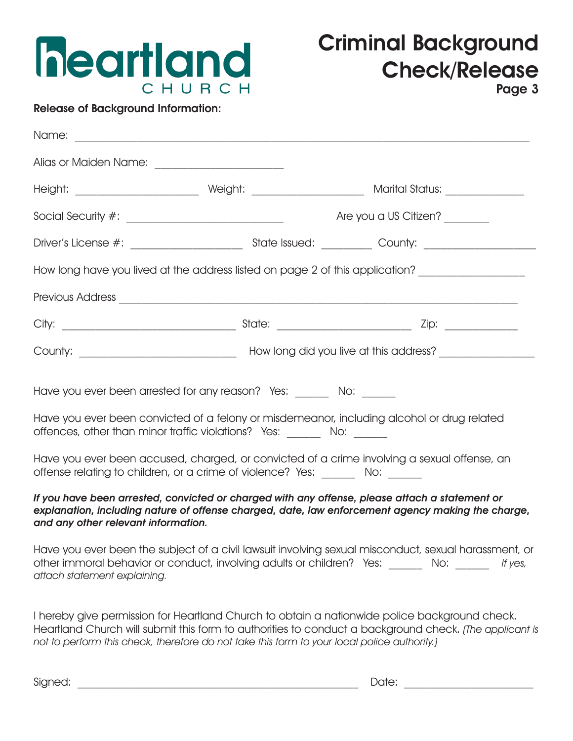

Release of Background Information:

| Alias or Maiden Name: _________________________                                                                                                                                                                                             |  |                                                                                                                                                                                                           |  |  |
|---------------------------------------------------------------------------------------------------------------------------------------------------------------------------------------------------------------------------------------------|--|-----------------------------------------------------------------------------------------------------------------------------------------------------------------------------------------------------------|--|--|
|                                                                                                                                                                                                                                             |  |                                                                                                                                                                                                           |  |  |
|                                                                                                                                                                                                                                             |  | Are you a US Citizen?                                                                                                                                                                                     |  |  |
|                                                                                                                                                                                                                                             |  |                                                                                                                                                                                                           |  |  |
|                                                                                                                                                                                                                                             |  | How long have you lived at the address listed on page 2 of this application? ______________________                                                                                                       |  |  |
|                                                                                                                                                                                                                                             |  |                                                                                                                                                                                                           |  |  |
|                                                                                                                                                                                                                                             |  |                                                                                                                                                                                                           |  |  |
|                                                                                                                                                                                                                                             |  |                                                                                                                                                                                                           |  |  |
| Have you ever been arrested for any reason? Yes: _______ No: ______<br>Have you ever been convicted of a felony or misdemeanor, including alcohol or drug related<br>offences, other than minor traffic violations? Yes: _______ No: ______ |  |                                                                                                                                                                                                           |  |  |
| Have you ever been accused, charged, or convicted of a crime involving a sexual offense, an<br>offense relating to children, or a crime of violence? Yes: _______ No: ______                                                                |  |                                                                                                                                                                                                           |  |  |
| If you have been arrested, convicted or charged with any offense, please attach a statement or<br>explanation, including nature of offense charged, date, law enforcement agency making the charge,<br>and any other relevant information.  |  |                                                                                                                                                                                                           |  |  |
| attach statement explaining.                                                                                                                                                                                                                |  | Have you ever been the subject of a civil lawsuit involving sexual misconduct, sexual harassment, or<br>other immoral behavior or conduct, involving adults or children? Yes: ______ No: _____<br>If yes, |  |  |
|                                                                                                                                                                                                                                             |  | I hereby give permission for Heartland Church to obtain a nationwide police background check.                                                                                                             |  |  |

Heartland Church will submit this form to authorities to conduct a background check. (The applicant is not to perform this check, therefore do not take this form to your local police authority.)

Signed: \_\_\_\_\_\_\_\_\_\_\_\_\_\_\_\_\_\_\_\_\_\_\_\_\_\_\_\_\_\_\_\_\_\_\_\_\_\_\_\_\_\_\_\_\_\_\_\_\_\_ Date: \_\_\_\_\_\_\_\_\_\_\_\_\_\_\_\_\_\_\_\_\_\_\_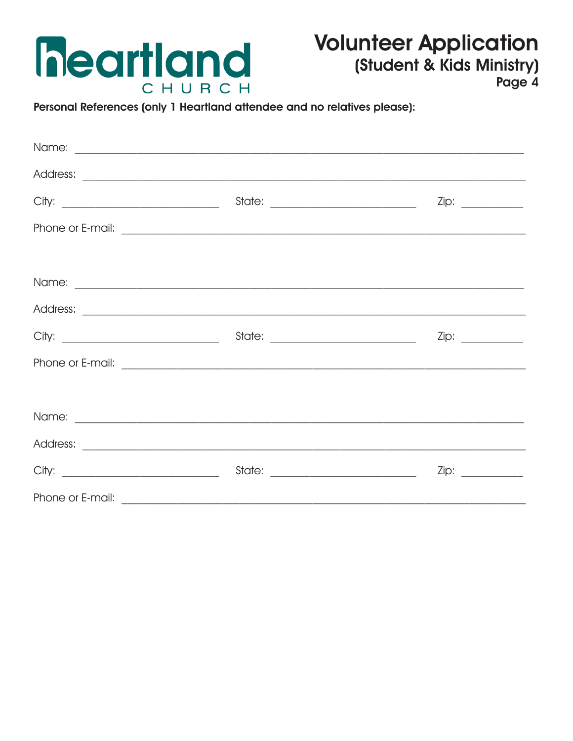

## **Volunteer Application** (Student & Kids Ministry)

Page 4

Personal References (only 1 Heartland attendee and no relatives please):

|  | State: _________________________________                                                                                                                                                                                             |  |  |  |
|--|--------------------------------------------------------------------------------------------------------------------------------------------------------------------------------------------------------------------------------------|--|--|--|
|  |                                                                                                                                                                                                                                      |  |  |  |
|  |                                                                                                                                                                                                                                      |  |  |  |
|  | Name: <u>experimental and a series of the series of the series of the series of the series of the series of the series of the series of the series of the series of the series of the series of the series of the series of the </u> |  |  |  |
|  |                                                                                                                                                                                                                                      |  |  |  |
|  |                                                                                                                                                                                                                                      |  |  |  |
|  |                                                                                                                                                                                                                                      |  |  |  |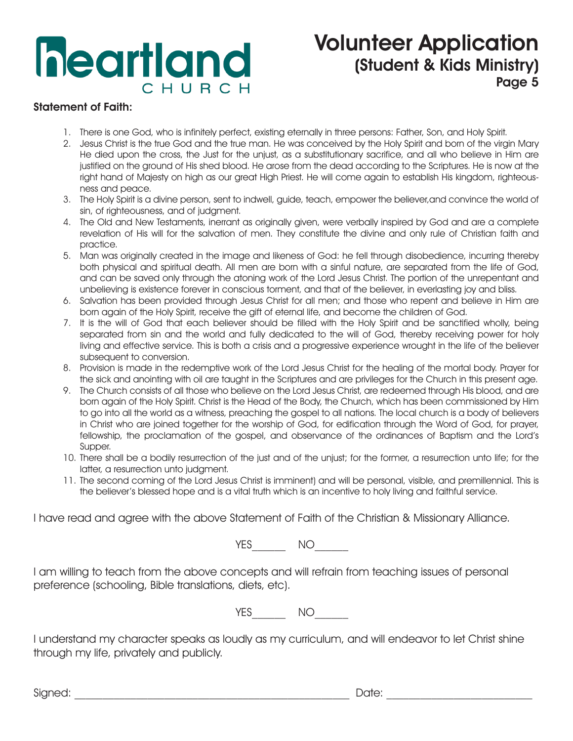## **heartland** CHURCH

### Volunteer Application (Student & Kids Ministry) Page 5

#### Statement of Faith:

- 1. There is one God, who is infinitely perfect, existing eternally in three persons: Father, Son, and Holy Spirit.
- 2. Jesus Christ is the true God and the true man. He was conceived by the Holy Spirit and born of the virgin Mary He died upon the cross, the Just for the unjust, as a substitutionary sacrifice, and all who believe in Him are justified on the ground of His shed blood. He arose from the dead according to the Scriptures. He is now at the right hand of Majesty on high as our great High Priest. He will come again to establish His kingdom, righteousness and peace.
- 3. The Holy Spirit is a divine person, sent to indwell, guide, teach, empower the believer,and convince the world of sin, of righteousness, and of judgment.
- 4. The Old and New Testaments, inerrant as originally given, were verbally inspired by God and are a complete revelation of His will for the salvation of men. They constitute the divine and only rule of Christian faith and practice.
- 5. Man was originally created in the image and likeness of God: he fell through disobedience, incurring thereby both physical and spiritual death. All men are born with a sinful nature, are separated from the life of God, and can be saved only through the atoning work of the Lord Jesus Christ. The portion of the unrepentant and unbelieving is existence forever in conscious torment, and that of the believer, in everlasting joy and bliss.
- 6. Salvation has been provided through Jesus Christ for all men; and those who repent and believe in Him are born again of the Holy Spirit, receive the gift of eternal life, and become the children of God.
- 7. It is the will of God that each believer should be filled with the Holy Spirit and be sanctified wholly, being separated from sin and the world and fully dedicated to the will of God, thereby receiving power for holy living and effective service. This is both a crisis and a progressive experience wrought in the life of the believer subsequent to conversion.
- 8. Provision is made in the redemptive work of the Lord Jesus Christ for the healing of the mortal body. Prayer for the sick and anointing with oil are taught in the Scriptures and are privileges for the Church in this present age.
- 9. The Church consists of all those who believe on the Lord Jesus Christ, are redeemed through His blood, and are born again of the Holy Spirit. Christ is the Head of the Body, the Church, which has been commissioned by Him to go into all the world as a witness, preaching the gospel to all nations. The local church is a body of believers in Christ who are joined together for the worship of God, for edification through the Word of God, for prayer, fellowship, the proclamation of the gospel, and observance of the ordinances of Baptism and the Lord's Supper.
- 10. There shall be a bodily resurrection of the just and of the unjust; for the former, a resurrection unto life; for the latter, a resurrection unto judgment.
- 11. The second coming of the Lord Jesus Christ is imminent) and will be personal, visible, and premillennial. This is the believer's blessed hope and is a vital truth which is an incentive to holy living and faithful service.

I have read and agree with the above Statement of Faith of the Christian & Missionary Alliance.

YES<sup>NO</sup>

I am willing to teach from the above concepts and will refrain from teaching issues of personal preference (schooling, Bible translations, diets, etc).

YES NO

I understand my character speaks as loudly as my curriculum, and will endeavor to let Christ shine through my life, privately and publicly.

Signed: with the state of the state of the state of the Signed: with the state of the state of the state of th